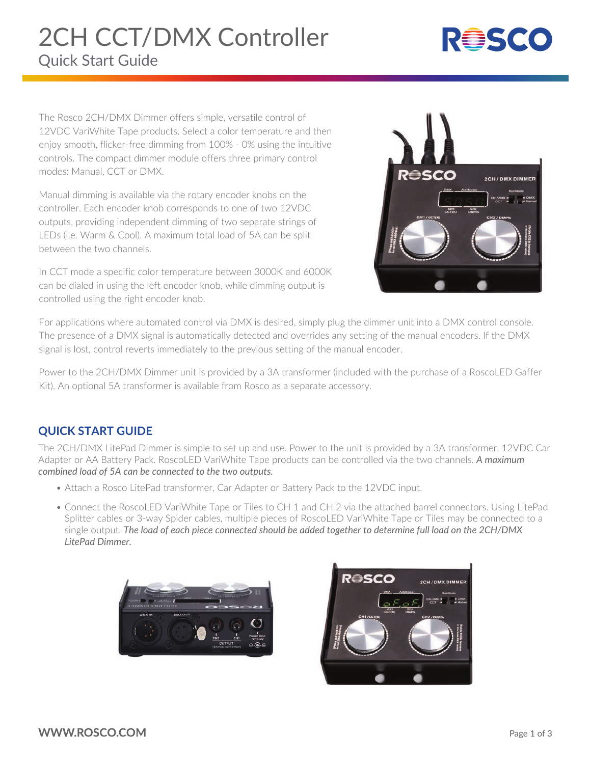# Quick Start Guide 2CH CCT/DMX Controller



The Rosco 2CH/DMX Dimmer offers simple, versatile control of 12VDC VariWhite Tape products. Select a color temperature and then enjoy smooth, flicker-free dimming from 100% - 0% using the intuitive controls. The compact dimmer module offers three primary control modes: Manual, CCT or DMX.

Manual dimming is available via the rotary encoder knobs on the controller. Each encoder knob corresponds to one of two 12VDC outputs, providing independent dimming of two separate strings of LEDs (i.e. Warm & Cool). A maximum total load of 5A can be split between the two channels.

In CCT mode a specific color temperature between 3000K and 6000K can be dialed in using the left encoder knob, while dimming output is controlled using the right encoder knob.



For applications where automated control via DMX is desired, simply plug the dimmer unit into a DMX control console. The presence of a DMX signal is automatically detected and overrides any setting of the manual encoders. If the DMX signal is lost, control reverts immediately to the previous setting of the manual encoder.

Power to the 2CH/DMX Dimmer unit is provided by a 3A transformer (included with the purchase of a RoscoLED Gaffer Kit). An optional 5A transformer is available from Rosco as a separate accessory.

#### **QUICK START GUIDE**

The 2CH/DMX LitePad Dimmer is simple to set up and use. Power to the unit is provided by a 3A transformer, 12VDC Car Adapter or AA Battery Pack. RoscoLED VariWhite Tape products can be controlled via the two channels. *A maximum combined load of 5A can be connected to the two outputs.*

- Attach a Rosco LitePad transformer, Car Adapter or Battery Pack to the 12VDC input.
- Connect the RoscoLED VariWhite Tape or Tiles to CH 1 and CH 2 via the attached barrel connectors. Using LitePad Splitter cables or 3-way Spider cables, multiple pieces of RoscoLED VariWhite Tape or Tiles may be connected to a single output. *The load of each piece connected should be added together to determine full load on the 2CH/DMX LitePad Dimmer.*



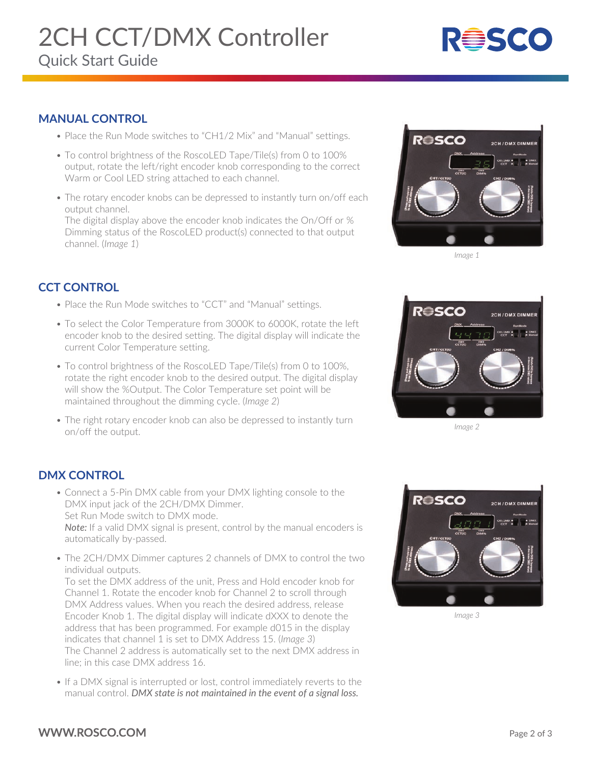# 2CH CCT/DMX Controller

# Quick Start Guide



#### **MANUAL CONTROL**

- Place the Run Mode switches to "CH1/2 Mix" and "Manual" settings.
- To control brightness of the RoscoLED Tape/Tile(s) from 0 to 100% output, rotate the left/right encoder knob corresponding to the correct Warm or Cool LED string attached to each channel.
- The rotary encoder knobs can be depressed to instantly turn on/off each output channel.

 The digital display above the encoder knob indicates the On/Off or % Dimming status of the RoscoLED product(s) connected to that output channel. (*Image 1*)

## **CCT CONTROL**

- Place the Run Mode switches to "CCT" and "Manual" settings.
- To select the Color Temperature from 3000K to 6000K, rotate the left encoder knob to the desired setting. The digital display will indicate the current Color Temperature setting.
- To control brightness of the RoscoLED Tape/Tile(s) from 0 to 100%, rotate the right encoder knob to the desired output. The digital display will show the %Output. The Color Temperature set point will be maintained throughout the dimming cycle. (*Image 2*)
- The right rotary encoder knob can also be depressed to instantly turn on/off the output.



*Image 1*



*Image 2*

### **DMX CONTROL**

- Connect a 5-Pin DMX cable from your DMX lighting console to the DMX input jack of the 2CH/DMX Dimmer. Set Run Mode switch to DMX mode. *Note:* If a valid DMX signal is present, control by the manual encoders is automatically by-passed.
- The 2CH/DMX Dimmer captures 2 channels of DMX to control the two individual outputs.

 To set the DMX address of the unit, Press and Hold encoder knob for Channel 1. Rotate the encoder knob for Channel 2 to scroll through DMX Address values. When you reach the desired address, release Encoder Knob 1. The digital display will indicate dXXX to denote the address that has been programmed. For example d015 in the display indicates that channel 1 is set to DMX Address 15. (*Image 3*) The Channel 2 address is automatically set to the next DMX address in line; in this case DMX address 16.

 • If a DMX signal is interrupted or lost, control immediately reverts to the manual control. *DMX state is not maintained in the event of a signal loss.*



*Image 3*